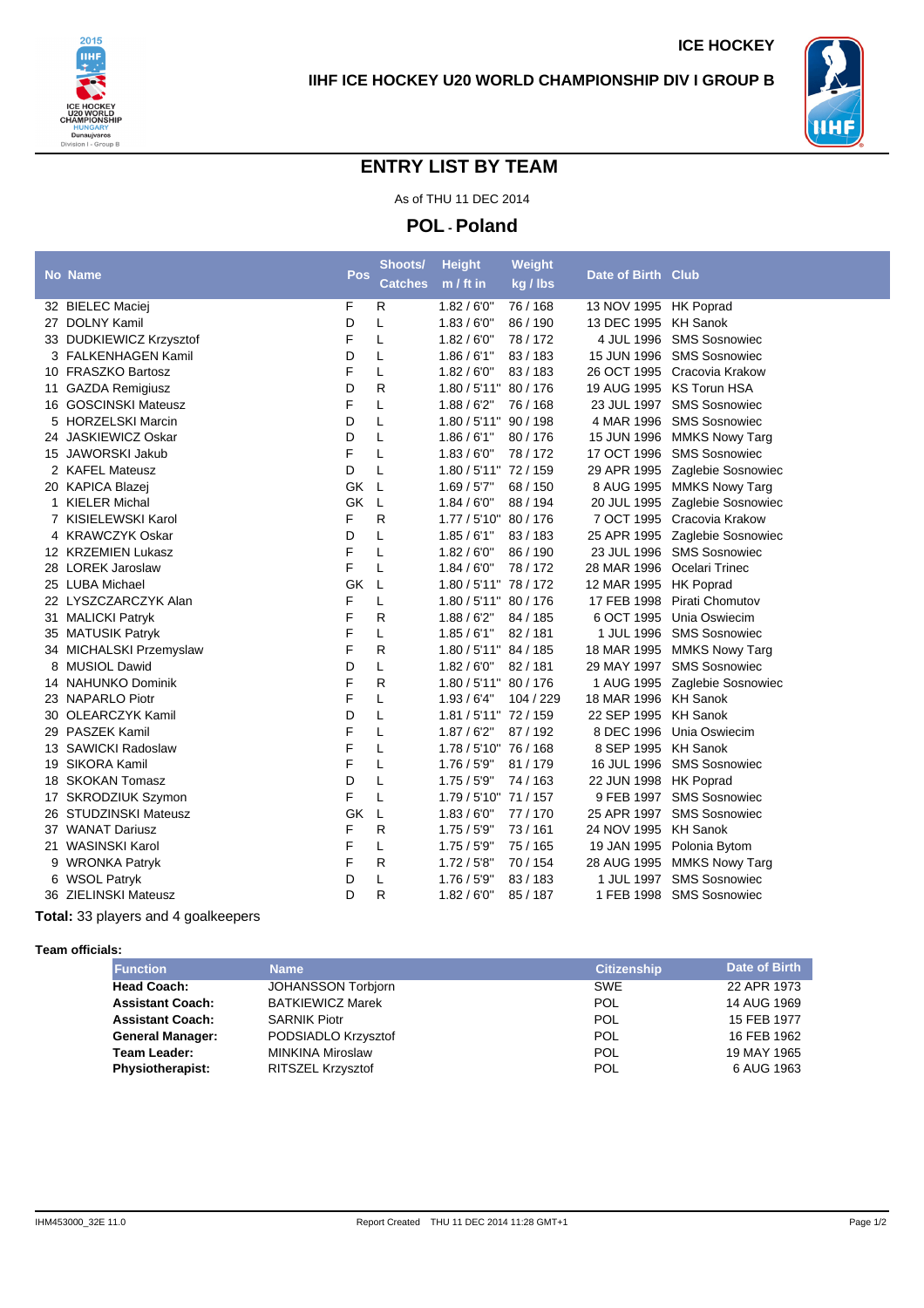



## **ENTRY LIST BY TEAM**

As of THU 11 DEC 2014

**POL - Poland**

|                         |            | Shoots/        | <b>Height</b>         | Weight    |                       |                                |
|-------------------------|------------|----------------|-----------------------|-----------|-----------------------|--------------------------------|
| <b>No Name</b>          | <b>Pos</b> | <b>Catches</b> | $m / ft$ in           | kg / lbs  | Date of Birth Club    |                                |
| 32 BIELEC Maciei        | F          | R              | 1.82/6'0''            | 76 / 168  | 13 NOV 1995 HK Poprad |                                |
| 27 DOLNY Kamil          | D          | L              | 1.83/6'0''            | 86 / 190  | 13 DEC 1995           | <b>KH Sanok</b>                |
| 33 DUDKIEWICZ Krzysztof | F          | L              | 1.82/6'0''            | 78/172    |                       | 4 JUL 1996 SMS Sosnowiec       |
| 3 FALKENHAGEN Kamil     | D          | Г              | 1.86/6'1''            | 83/183    |                       | 15 JUN 1996 SMS Sosnowiec      |
| 10 FRASZKO Bartosz      | F          | L              | 1.82/6'0''            | 83/183    | 26 OCT 1995           | Cracovia Krakow                |
| 11 GAZDA Remigiusz      | D          | R              | 1.80 / 5'11" 80 / 176 |           |                       | 19 AUG 1995 KS Torun HSA       |
| 16 GOSCINSKI Mateusz    | F          | L              | 1.88/6'2"             | 76 / 168  | 23 JUL 1997           | <b>SMS Sosnowiec</b>           |
| 5 HORZELSKI Marcin      | D          | Г              | 1.80 / 5'11" 90 / 198 |           | 4 MAR 1996            | <b>SMS Sosnowiec</b>           |
| 24 JASKIEWICZ Oskar     | D          | L              | 1.86/6'1"             | 80/176    |                       | 15 JUN 1996 MMKS Nowy Targ     |
| 15 JAWORSKI Jakub       | F          | L              | 1.83/6'0''            | 78/172    | 17 OCT 1996           | <b>SMS Sosnowiec</b>           |
| 2 KAFEL Mateusz         | D          | L              | 1.80 / 5'11" 72 / 159 |           | 29 APR 1995           | Zaglebie Sosnowiec             |
| 20 KAPICA Blazej        | GK         | L              | 1.69 / 5'7''          | 68 / 150  |                       | 8 AUG 1995 MMKS Nowy Targ      |
| 1 KIELER Michal         | <b>GK</b>  | L              | 1.84/6'0''            | 88 / 194  |                       | 20 JUL 1995 Zaglebie Sosnowiec |
| 7 KISIELEWSKI Karol     | F          | R              | 1.77/5'10''           | 80/176    |                       | 7 OCT 1995 Cracovia Krakow     |
| 4 KRAWCZYK Oskar        | D          | L              | 1.85/6'1''            | 83/183    |                       | 25 APR 1995 Zaglebie Sosnowiec |
| 12 KRZEMIEN Lukasz      | F          | Г              | 1.82/6'0''            | 86 / 190  |                       | 23 JUL 1996 SMS Sosnowiec      |
| 28 LOREK Jaroslaw       | F          | L              | 1.84/6'0''            | 78/172    | 28 MAR 1996           | Ocelari Trinec                 |
| 25 LUBA Michael         | GK         | L              | 1.80 / 5'11" 78 / 172 |           | 12 MAR 1995           | <b>HK Poprad</b>               |
| 22 LYSZCZARCZYK Alan    | F          | L              | 1.80 / 5'11" 80 / 176 |           | 17 FEB 1998           | <b>Pirati Chomutov</b>         |
| 31 MALICKI Patryk       | F          | R              | 1.88/6'2"             | 84 / 185  | 6 OCT 1995            | Unia Oswiecim                  |
| 35 MATUSIK Patryk       | F          | Г              | 1.85/6'1"             | 82/181    | 1 JUL 1996            | <b>SMS Sosnowiec</b>           |
| 34 MICHALSKI Przemyslaw | F          | R              | 1.80 / 5'11" 84 / 185 |           |                       | 18 MAR 1995 MMKS Nowy Targ     |
| 8 MUSIOL Dawid          | D          | Г              | 1.82/6'0''            | 82/181    | 29 MAY 1997           | <b>SMS Sosnowiec</b>           |
| 14 NAHUNKO Dominik      | F          | R              | 1.80 / 5'11" 80 / 176 |           |                       | 1 AUG 1995 Zaglebie Sosnowiec  |
| 23 NAPARLO Piotr        | F          | Г              | 1.93/6'4"             | 104 / 229 | 18 MAR 1996 KH Sanok  |                                |
| 30 OLEARCZYK Kamil      | D          | L              | 1.81 / 5'11" 72 / 159 |           | 22 SEP 1995           | <b>KH Sanok</b>                |
| 29 PASZEK Kamil         | F          | Г              | 1.87/6'2"             | 87/192    | 8 DEC 1996            | Unia Oswiecim                  |
| 13 SAWICKI Radoslaw     | F          | L              | 1.78 / 5'10" 76 / 168 |           | 8 SEP 1995            | <b>KH Sanok</b>                |
| 19 SIKORA Kamil         | F          | Г              | 1.76 / 5'9"           | 81 / 179  | 16 JUL 1996           | <b>SMS Sosnowiec</b>           |
| 18 SKOKAN Tomasz        | D          | L              | 1.75/5'9"             | 74/163    | 22 JUN 1998 HK Poprad |                                |
| 17 SKRODZIUK Szymon     | F          | Г              | 1.79 / 5'10" 71 / 157 |           |                       | 9 FEB 1997 SMS Sosnowiec       |
| 26 STUDZINSKI Mateusz   | <b>GK</b>  | L              | 1.83/6'0''            | 77/170    | 25 APR 1997           | <b>SMS Sosnowiec</b>           |
| 37 WANAT Dariusz        | F          | R              | 1.75/5'9"             | 73/161    | 24 NOV 1995           | <b>KH Sanok</b>                |
| 21 WASINSKI Karol       | F          | Г              | 1.75/5'9"             | 75 / 165  | 19 JAN 1995           | Polonia Bytom                  |
| 9 WRONKA Patryk         | F          | R              | 1.72/5'8''            | 70/154    | 28 AUG 1995           | <b>MMKS Nowy Targ</b>          |
| 6 WSOL Patryk           | D          | L              | 1.76/5'9''            | 83/183    | 1 JUL 1997            | <b>SMS Sosnowiec</b>           |
| 36 ZIELINSKI Mateusz    | D          | R              | 1.82/6'0''            | 85/187    |                       | 1 FEB 1998 SMS Sosnowiec       |
|                         |            |                |                       |           |                       |                                |

**Total:** 33 players and 4 goalkeepers

## **Team officials:**

| <b>Function</b>         | <b>Name</b>               | <b>Citizenship</b> | Date of Birth |
|-------------------------|---------------------------|--------------------|---------------|
| <b>Head Coach:</b>      | <b>JOHANSSON Torbjorn</b> | <b>SWE</b>         | 22 APR 1973   |
| <b>Assistant Coach:</b> | <b>BATKIEWICZ Marek</b>   | POL                | 14 AUG 1969   |
| <b>Assistant Coach:</b> | <b>SARNIK Piotr</b>       | POL                | 15 FEB 1977   |
| <b>General Manager:</b> | PODSIADLO Krzysztof       | POL                | 16 FEB 1962   |
| Team Leader:            | <b>MINKINA Miroslaw</b>   | POL                | 19 MAY 1965   |
| <b>Physiotherapist:</b> | RITSZEL Krzysztof         | POL                | 6 AUG 1963    |